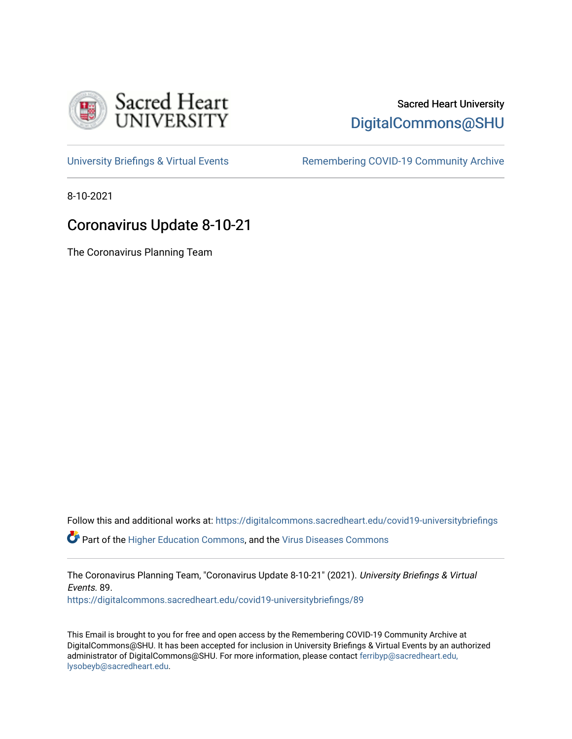

# Sacred Heart University [DigitalCommons@SHU](https://digitalcommons.sacredheart.edu/)

[University Briefings & Virtual Events](https://digitalcommons.sacredheart.edu/covid19-universitybriefings) **Remembering COVID-19 Community Archive** 

8-10-2021

# Coronavirus Update 8-10-21

The Coronavirus Planning Team

Follow this and additional works at: [https://digitalcommons.sacredheart.edu/covid19-universitybriefings](https://digitalcommons.sacredheart.edu/covid19-universitybriefings?utm_source=digitalcommons.sacredheart.edu%2Fcovid19-universitybriefings%2F89&utm_medium=PDF&utm_campaign=PDFCoverPages)

**C** Part of the [Higher Education Commons,](http://network.bepress.com/hgg/discipline/1245?utm_source=digitalcommons.sacredheart.edu%2Fcovid19-universitybriefings%2F89&utm_medium=PDF&utm_campaign=PDFCoverPages) and the [Virus Diseases Commons](http://network.bepress.com/hgg/discipline/998?utm_source=digitalcommons.sacredheart.edu%2Fcovid19-universitybriefings%2F89&utm_medium=PDF&utm_campaign=PDFCoverPages)

The Coronavirus Planning Team, "Coronavirus Update 8-10-21" (2021). University Briefings & Virtual Events. 89.

[https://digitalcommons.sacredheart.edu/covid19-universitybriefings/89](https://digitalcommons.sacredheart.edu/covid19-universitybriefings/89?utm_source=digitalcommons.sacredheart.edu%2Fcovid19-universitybriefings%2F89&utm_medium=PDF&utm_campaign=PDFCoverPages) 

This Email is brought to you for free and open access by the Remembering COVID-19 Community Archive at DigitalCommons@SHU. It has been accepted for inclusion in University Briefings & Virtual Events by an authorized administrator of DigitalCommons@SHU. For more information, please contact [ferribyp@sacredheart.edu,](mailto:ferribyp@sacredheart.edu,%20lysobeyb@sacredheart.edu) [lysobeyb@sacredheart.edu](mailto:ferribyp@sacredheart.edu,%20lysobeyb@sacredheart.edu).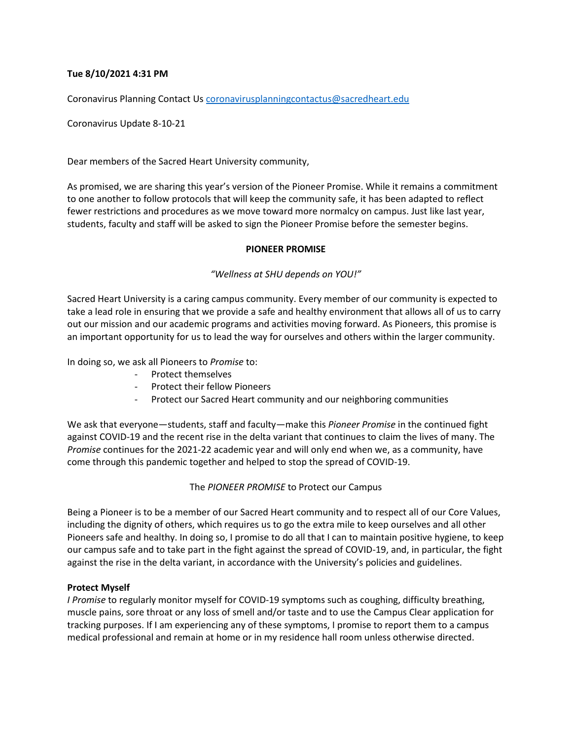## **Tue 8/10/2021 4:31 PM**

Coronavirus Planning Contact Us [coronavirusplanningcontactus@sacredheart.edu](mailto:coronavirusplanningcontactus@sacredheart.edu)

Coronavirus Update 8-10-21

Dear members of the Sacred Heart University community,

As promised, we are sharing this year's version of the Pioneer Promise. While it remains a commitment to one another to follow protocols that will keep the community safe, it has been adapted to reflect fewer restrictions and procedures as we move toward more normalcy on campus. Just like last year, students, faculty and staff will be asked to sign the Pioneer Promise before the semester begins.

### **PIONEER PROMISE**

### *"Wellness at SHU depends on YOU!"*

Sacred Heart University is a caring campus community. Every member of our community is expected to take a lead role in ensuring that we provide a safe and healthy environment that allows all of us to carry out our mission and our academic programs and activities moving forward. As Pioneers, this promise is an important opportunity for us to lead the way for ourselves and others within the larger community.

In doing so, we ask all Pioneers to *Promise* to:

- Protect themselves
- Protect their fellow Pioneers
- Protect our Sacred Heart community and our neighboring communities

We ask that everyone—students, staff and faculty—make this *Pioneer Promise* in the continued fight against COVID-19 and the recent rise in the delta variant that continues to claim the lives of many. The *Promise* continues for the 2021-22 academic year and will only end when we, as a community, have come through this pandemic together and helped to stop the spread of COVID-19.

The *PIONEER PROMISE* to Protect our Campus

Being a Pioneer is to be a member of our Sacred Heart community and to respect all of our Core Values, including the dignity of others, which requires us to go the extra mile to keep ourselves and all other Pioneers safe and healthy. In doing so, I promise to do all that I can to maintain positive hygiene, to keep our campus safe and to take part in the fight against the spread of COVID-19, and, in particular, the fight against the rise in the delta variant, in accordance with the University's policies and guidelines.

## **Protect Myself**

*I Promise* to regularly monitor myself for COVID-19 symptoms such as coughing, difficulty breathing, muscle pains, sore throat or any loss of smell and/or taste and to use the Campus Clear application for tracking purposes. If I am experiencing any of these symptoms, I promise to report them to a campus medical professional and remain at home or in my residence hall room unless otherwise directed.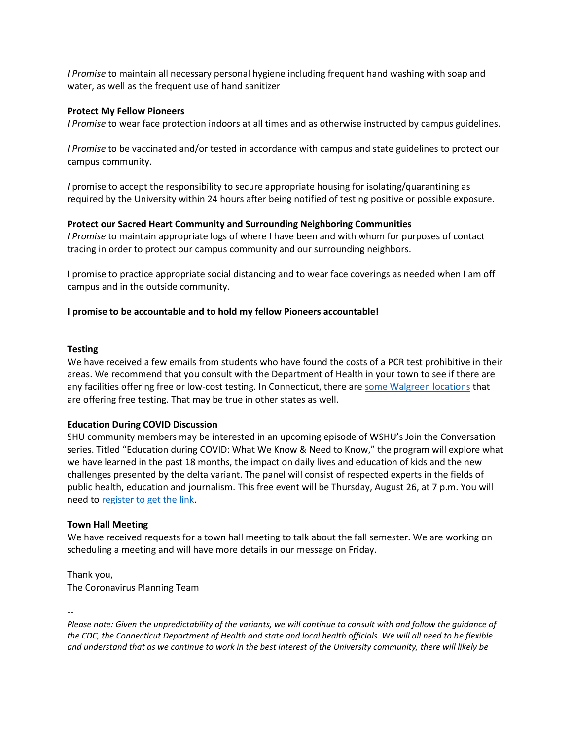*I Promise* to maintain all necessary personal hygiene including frequent hand washing with soap and water, as well as the frequent use of hand sanitizer

#### **Protect My Fellow Pioneers**

*I Promise* to wear face protection indoors at all times and as otherwise instructed by campus guidelines.

*I Promise* to be vaccinated and/or tested in accordance with campus and state guidelines to protect our campus community.

*I* promise to accept the responsibility to secure appropriate housing for isolating/quarantining as required by the University within 24 hours after being notified of testing positive or possible exposure.

#### **Protect our Sacred Heart Community and Surrounding Neighboring Communities**

*I Promise* to maintain appropriate logs of where I have been and with whom for purposes of contact tracing in order to protect our campus community and our surrounding neighbors.

I promise to practice appropriate social distancing and to wear face coverings as needed when I am off campus and in the outside community.

#### **I promise to be accountable and to hold my fellow Pioneers accountable!**

#### **Testing**

We have received a few emails from students who have found the costs of a PCR test prohibitive in their areas. We recommend that you consult with the Department of Health in your town to see if there are any facilities offering free or low-cost testing. In Connecticut, there ar[e some Walgreen locations](https://www.walgreens.com/findcare/covid19/testing?ban=covid_vanity_testing) that are offering free testing. That may be true in other states as well.

#### **Education During COVID Discussion**

SHU community members may be interested in an upcoming episode of WSHU's Join the Conversation series. Titled "Education during COVID: What We Know & Need to Know," the program will explore what we have learned in the past 18 months, the impact on daily lives and education of kids and the new challenges presented by the delta variant. The panel will consist of respected experts in the fields of public health, education and journalism. This free event will be Thursday, August 26, at 7 p.m. You will need to [register to get the link.](https://shindig.com/login/event/jtc)

#### **Town Hall Meeting**

We have received requests for a town hall meeting to talk about the fall semester. We are working on scheduling a meeting and will have more details in our message on Friday.

Thank you, The Coronavirus Planning Team

--

*Please note: Given the unpredictability of the variants, we will continue to consult with and follow the guidance of the CDC, the Connecticut Department of Health and state and local health officials. We will all need to be flexible and understand that as we continue to work in the best interest of the University community, there will likely be*